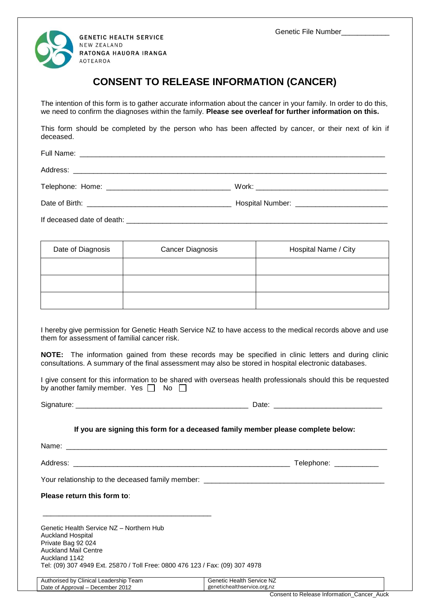Genetic File Number\_\_\_\_\_\_\_\_\_\_\_



## **CONSENT TO RELEASE INFORMATION (CANCER)**

The intention of this form is to gather accurate information about the cancer in your family. In order to do this, we need to confirm the diagnoses within the family. **Please see overleaf for further information on this.** 

This form should be completed by the person who has been affected by cancer, or their next of kin if deceased.

If deceased date of death:  $\blacksquare$ 

| Date of Diagnosis | <b>Cancer Diagnosis</b> | Hospital Name / City |
|-------------------|-------------------------|----------------------|
|                   |                         |                      |
|                   |                         |                      |
|                   |                         |                      |

I hereby give permission for Genetic Heath Service NZ to have access to the medical records above and use them for assessment of familial cancer risk.

**NOTE:** The information gained from these records may be specified in clinic letters and during clinic consultations. A summary of the final assessment may also be stored in hospital electronic databases.

I give consent for this information to be shared with overseas health professionals should this be requested by another family member. Yes  $\Box$  No  $\Box$ 

Signature: \_\_\_\_\_\_\_\_\_\_\_\_\_\_\_\_\_\_\_\_\_\_\_\_\_\_\_\_\_\_\_\_\_\_\_\_\_\_\_\_\_\_\_ Date: \_\_\_\_\_\_\_\_\_\_\_\_\_\_\_\_\_\_\_\_\_\_\_\_\_\_\_

|  | Date: |
|--|-------|
|  |       |
|  |       |
|  |       |

## **If you are signing this form for a deceased family member please complete below:**

Name: \_\_\_\_\_\_\_\_\_\_\_\_\_\_\_\_\_\_\_\_\_\_\_\_\_\_\_\_\_\_\_\_\_\_\_\_\_\_\_\_\_\_\_\_\_\_\_\_\_\_\_\_\_\_\_\_\_\_\_\_\_\_\_\_\_\_\_\_\_\_\_\_\_\_\_\_\_\_\_\_

Address: \_\_\_\_\_\_\_\_\_\_\_\_\_\_\_\_\_\_\_\_\_\_\_\_\_\_\_\_\_\_\_\_\_\_\_\_\_\_\_\_\_\_\_\_\_\_\_\_\_\_\_\_\_\_ Telephone: \_\_\_\_\_\_\_\_\_\_\_

Your relationship to the deceased family member: \_\_\_\_\_\_\_\_\_\_\_\_\_\_\_\_\_\_\_\_\_\_\_\_\_\_\_\_\_\_\_

\_\_\_\_\_\_\_\_\_\_\_\_\_\_\_\_\_\_\_\_\_\_\_\_\_\_\_\_\_\_\_\_\_\_\_\_\_\_\_\_\_\_

| Please return this form to: |  |
|-----------------------------|--|
|-----------------------------|--|

Genetic Health Service NZ – Northern Hub Auckland Hospital Private Bag 92 024 Auckland Mail Centre Auckland 1142 Tel: (09) 307 4949 Ext. 25870 / Toll Free: 0800 476 123 / Fax: (09) 307 4978

| Authorised by Clinical Leadership Team | <b>Genetic Health Service NZ</b> |  |
|----------------------------------------|----------------------------------|--|
| Date of Approval – December 2012       | genetichealthservice.org.nz      |  |
|                                        |                                  |  |